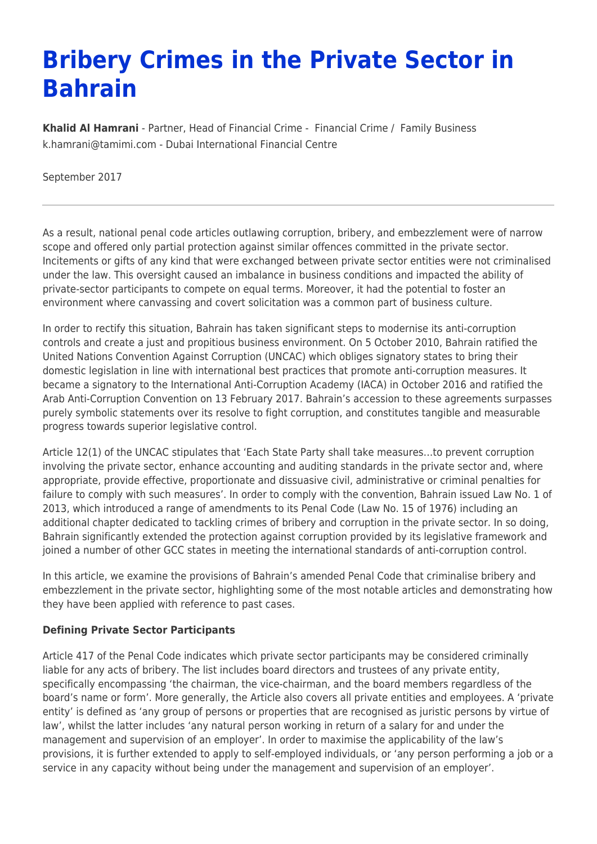# **Bribery Crimes in the Private Sector in Bahrain**

**[Khalid Al Hamrani](https://www.tamimi.com/find-a-lawyer/khalid-al-hamrani/)** - Partner, Head of Financial Crime - [Financial Crime](https://www.tamimi.com/client-services/practices/financial-crime/) / [Family Business](https://www.tamimi.com/client-services/practices/family-business/) [k.hamrani@tamimi.com](mailto:k.hamrani@tamimi.com) - [Dubai International Financial Centre](https://www.tamimi.com/locations/uae/)

September 2017

As a result, national penal code articles outlawing corruption, bribery, and embezzlement were of narrow scope and offered only partial protection against similar offences committed in the private sector. Incitements or gifts of any kind that were exchanged between private sector entities were not criminalised under the law. This oversight caused an imbalance in business conditions and impacted the ability of private-sector participants to compete on equal terms. Moreover, it had the potential to foster an environment where canvassing and covert solicitation was a common part of business culture.

In order to rectify this situation, Bahrain has taken significant steps to modernise its anti-corruption controls and create a just and propitious business environment. On 5 October 2010, Bahrain ratified the United Nations Convention Against Corruption (UNCAC) which obliges signatory states to bring their domestic legislation in line with international best practices that promote anti-corruption measures. It became a signatory to the International Anti-Corruption Academy (IACA) in October 2016 and ratified the Arab Anti-Corruption Convention on 13 February 2017. Bahrain's accession to these agreements surpasses purely symbolic statements over its resolve to fight corruption, and constitutes tangible and measurable progress towards superior legislative control.

Article 12(1) of the UNCAC stipulates that 'Each State Party shall take measures…to prevent corruption involving the private sector, enhance accounting and auditing standards in the private sector and, where appropriate, provide effective, proportionate and dissuasive civil, administrative or criminal penalties for failure to comply with such measures'. In order to comply with the convention, Bahrain issued Law No. 1 of 2013, which introduced a range of amendments to its Penal Code (Law No. 15 of 1976) including an additional chapter dedicated to tackling crimes of bribery and corruption in the private sector. In so doing, Bahrain significantly extended the protection against corruption provided by its legislative framework and joined a number of other GCC states in meeting the international standards of anti-corruption control.

In this article, we examine the provisions of Bahrain's amended Penal Code that criminalise bribery and embezzlement in the private sector, highlighting some of the most notable articles and demonstrating how they have been applied with reference to past cases.

### **Defining Private Sector Participants**

Article 417 of the Penal Code indicates which private sector participants may be considered criminally liable for any acts of bribery. The list includes board directors and trustees of any private entity, specifically encompassing 'the chairman, the vice-chairman, and the board members regardless of the board's name or form'. More generally, the Article also covers all private entities and employees. A 'private entity' is defined as 'any group of persons or properties that are recognised as juristic persons by virtue of law', whilst the latter includes 'any natural person working in return of a salary for and under the management and supervision of an employer'. In order to maximise the applicability of the law's provisions, it is further extended to apply to self-employed individuals, or 'any person performing a job or a service in any capacity without being under the management and supervision of an employer'.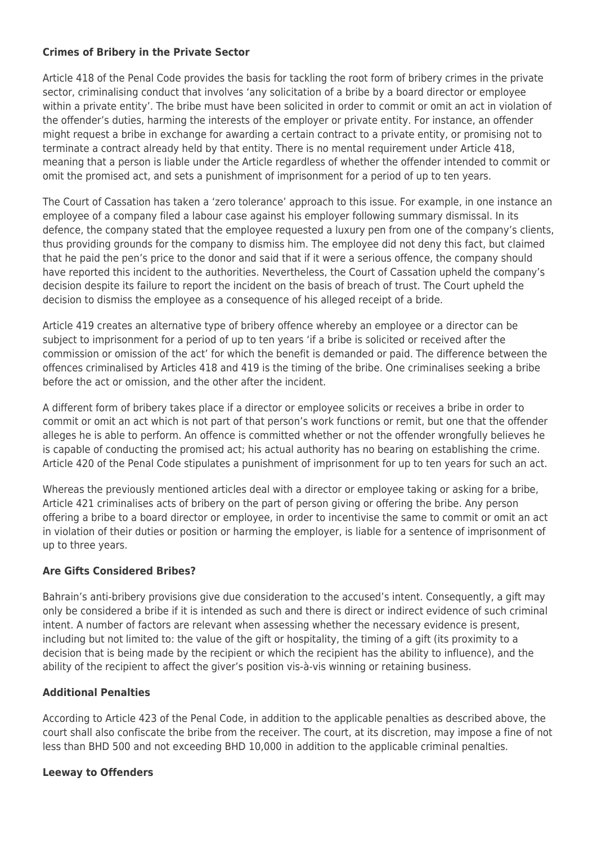#### **Crimes of Bribery in the Private Sector**

Article 418 of the Penal Code provides the basis for tackling the root form of bribery crimes in the private sector, criminalising conduct that involves 'any solicitation of a bribe by a board director or employee within a private entity'. The bribe must have been solicited in order to commit or omit an act in violation of the offender's duties, harming the interests of the employer or private entity. For instance, an offender might request a bribe in exchange for awarding a certain contract to a private entity, or promising not to terminate a contract already held by that entity. There is no mental requirement under Article 418, meaning that a person is liable under the Article regardless of whether the offender intended to commit or omit the promised act, and sets a punishment of imprisonment for a period of up to ten years.

The Court of Cassation has taken a 'zero tolerance' approach to this issue. For example, in one instance an employee of a company filed a labour case against his employer following summary dismissal. In its defence, the company stated that the employee requested a luxury pen from one of the company's clients, thus providing grounds for the company to dismiss him. The employee did not deny this fact, but claimed that he paid the pen's price to the donor and said that if it were a serious offence, the company should have reported this incident to the authorities. Nevertheless, the Court of Cassation upheld the company's decision despite its failure to report the incident on the basis of breach of trust. The Court upheld the decision to dismiss the employee as a consequence of his alleged receipt of a bride.

Article 419 creates an alternative type of bribery offence whereby an employee or a director can be subject to imprisonment for a period of up to ten years 'if a bribe is solicited or received after the commission or omission of the act' for which the benefit is demanded or paid. The difference between the offences criminalised by Articles 418 and 419 is the timing of the bribe. One criminalises seeking a bribe before the act or omission, and the other after the incident.

A different form of bribery takes place if a director or employee solicits or receives a bribe in order to commit or omit an act which is not part of that person's work functions or remit, but one that the offender alleges he is able to perform. An offence is committed whether or not the offender wrongfully believes he is capable of conducting the promised act; his actual authority has no bearing on establishing the crime. Article 420 of the Penal Code stipulates a punishment of imprisonment for up to ten years for such an act.

Whereas the previously mentioned articles deal with a director or employee taking or asking for a bribe, Article 421 criminalises acts of bribery on the part of person giving or offering the bribe. Any person offering a bribe to a board director or employee, in order to incentivise the same to commit or omit an act in violation of their duties or position or harming the employer, is liable for a sentence of imprisonment of up to three years.

### **Are Gifts Considered Bribes?**

Bahrain's anti-bribery provisions give due consideration to the accused's intent. Consequently, a gift may only be considered a bribe if it is intended as such and there is direct or indirect evidence of such criminal intent. A number of factors are relevant when assessing whether the necessary evidence is present, including but not limited to: the value of the gift or hospitality, the timing of a gift (its proximity to a decision that is being made by the recipient or which the recipient has the ability to influence), and the ability of the recipient to affect the giver's position vis-à-vis winning or retaining business.

### **Additional Penalties**

According to Article 423 of the Penal Code, in addition to the applicable penalties as described above, the court shall also confiscate the bribe from the receiver. The court, at its discretion, may impose a fine of not less than BHD 500 and not exceeding BHD 10,000 in addition to the applicable criminal penalties.

### **Leeway to Offenders**